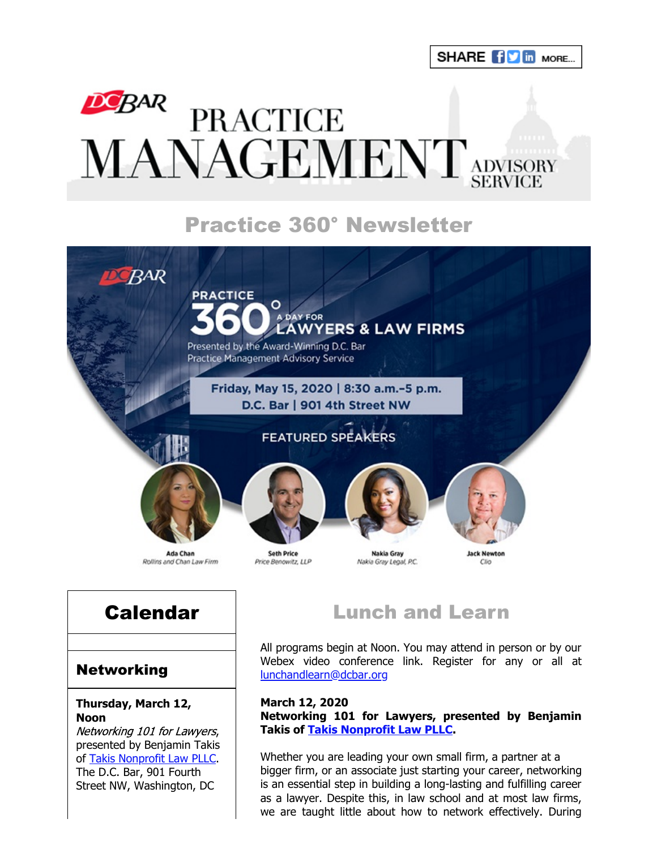SHARE **FO** In MORE...

# DEBAR PRACTICE<br>MANAGEMENT ADVISORY

# Practice 360° Newsletter



# Calendar

#### Networking

#### **Thursday, March 12, Noon**

Networking 101 for Lawyers, presented by Benjamin Takis of [Takis Nonprofit Law PLLC.](https://www.takisnonprofitlaw.com/) The D.C. Bar, 901 Fourth Street NW, Washington, DC

## Lunch and Learn

All programs begin at Noon. You may attend in person or by our Webex video conference link. Register for any or all at [lunchandlearn@dcbar.org](mailto:lunchandlearn@dcbar.org?subject=Lunch%20and%20Learn)

**March 12, 2020**

**Networking 101 for Lawyers, presented by Benjamin Takis of [Takis Nonprofit Law PLLC.](https://www.takisnonprofitlaw.com/)**

Whether you are leading your own small firm, a partner at a bigger firm, or an associate just starting your career, networking is an essential step in building a long-lasting and fulfilling career as a lawyer. Despite this, in law school and at most law firms, we are taught little about how to network effectively. During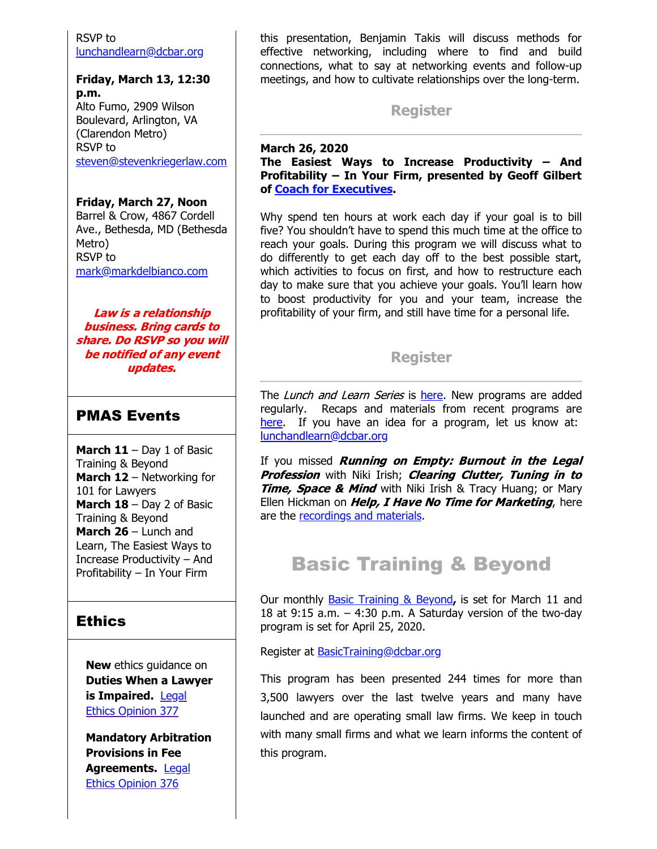#### RSVP to [lunchandlearn@dcbar.org](mailto:lunchandlearn@dcbar.org?subject=RSVP%20to%20Lunch%20and%20Learn%20on%20March%2012th%20)

#### **Friday, March 13, 12:30 p.m.**

Alto Fumo, 2909 Wilson Boulevard, Arlington, VA (Clarendon Metro) RSVP to [steven@stevenkriegerlaw.com](mailto:steven@stevenkriegerlaw.com?subject=RSVP%20to%20networking%20event%20at%20Alto%20Fumo%20on%20March%2013th)

#### **Friday, March 27, Noon**

Barrel & Crow, 4867 Cordell Ave., Bethesda, MD (Bethesda Metro) RSVP to [mark@markdelbianco.com](mailto:mark@markdelbianco.com)

Law is a relationship business. Bring cards to share. Do RSVP so you will be notified of any event updates.

### PMAS Events

**March 11** – Day 1 of Basic Training & Beyond **March 12** – Networking for 101 for Lawyers **March 18** – Day 2 of Basic Training & Beyond **March 26 – Lunch and** Learn, The Easiest Ways to Increase Productivity – And Profitability – In Your Firm

## **Ethics**

**New** ethics guidance on **Duties When a Lawyer is Impaired.** Legal [Ethics Opinion 377](http://www.mmsend31.com/link.cfm?r=zvkjaWqFFUTRz65Avl-Ftw~~&pe=C-9M6xq1MNb88k_gwusjdGhUXJCBlKKXrvbXwG_FsZQCaNPo0ucMDfJt9rsVis5Q6t4lOsAqGbaBb0eG3i85kw~~&t=k9OHu-7U-pBMufM-Njc8Aw~~)

**Mandatory Arbitration Provisions in Fee Agreements.** Legal [Ethics Opinion 376](http://www.mmsend31.com/link.cfm?r=zvkjaWqFFUTRz65Avl-Ftw~~&pe=SxoV3y5ZRHy1CzzFb0jxBoNhxo184MrR5toL4fTp2dnF43SvK3kCIYetrlY0obUEpMoLbMqEfdjj-mZzZihiVw~~&t=k9OHu-7U-pBMufM-Njc8Aw~~)

this presentation, Benjamin Takis will discuss methods for effective networking, including where to find and build connections, what to say at networking events and follow-up meetings, and how to cultivate relationships over the long-term.

#### **[Register](https://join.dcbar.org/eWeb/DynamicPage.aspx?site=dcbar&webcode=EventInfo&Reg_evt_key=7deb30f0-3a91-48b7-a8b0-6e2c477e29b5&RegPath=EventRegFees&FreeEvent=&Event=Lunch%20and%20Learn:%20Networking%20101%20for%20Lawyers&FundraisingEvent=&evt_guest_limit=9999&utm_source=Real%20Magnet&utm_medium=INSERT_CHANNEL&utm_campaign=INSERT_LINK_ID)**

#### **March 26, 2020 The Easiest Ways to Increase Productivity – And Profitability – In Your Firm, presented by Geoff Gilbert of [Coach for Executives](http://www.coachforexecutives.com/).**

Why spend ten hours at work each day if your goal is to bill five? You shouldn't have to spend this much time at the office to reach your goals. During this program we will discuss what to do differently to get each day off to the best possible start, which activities to focus on first, and how to restructure each day to make sure that you achieve your goals. You'll learn how to boost productivity for you and your team, increase the profitability of your firm, and still have time for a personal life.

## **[Register](https://join.dcbar.org/eWeb/DynamicPage.aspx?site=dcbar&webcode=EventInfo&Reg_evt_key=1cb55586-7eaf-473d-8240-5b4db3d4eb38&RegPath=EventRegFees&FreeEvent=&Event=Lunch%20and%20Learn:%20The%20Easiest%20Ways%20To%20Increase%20Productivity%20%E2%80%93%20And%20Profitability%20%E2%80%93%20In%20Your%20Firm&FundraisingEvent=&evt_guest_limit=9999&utm_source=Real%20Magnet&utm_medium=INSERT_CHANNEL&utm_campaign=INSERT_LINK_ID)**

The Lunch and Learn Series is [here.](http://www.dcbar.org/bar-resources/practice-management-advisory-service/Lunch-Series.cfm?utm_source=Real%20Magnet&utm_medium=INSERT_CHANNEL&utm_campaign=INSERT_LINK_ID) New programs are added regularly. Recaps and materials from recent programs are [here.](http://www.dcbar.org/bar-resources/practice-management-advisory-service/Lunch-Series-Past.cfm?utm_source=Real%20Magnet&utm_medium=INSERT_CHANNEL&utm_campaign=INSERT_LINK_ID) If you have an idea for a program, let us know at: [lunchandlearn@dcbar.org](mailto:lunchandlearn@dcbar.org)

If you missed **Running on Empty: Burnout in the Legal** Profession with Niki Irish; Clearing Clutter, Tuning in to **Time, Space & Mind** with Niki Irish & Tracy Huang; or Mary Ellen Hickman on *Help, I Have No Time for Marketing*, here are the [recordings and materials](https://www.dcbar.org/bar-resources/practice-management-advisory-service/lunch-series-past.cfm?utm_source=Real%20Magnet&utm_medium=INSERT_CHANNEL&utm_campaign=INSERT_LINK_ID).

## Basic Training & Beyond

Our monthly [Basic Training & Beyond](http://www.dcbar.org/bar-resources/practice-management-advisory-service/basic-training.cfm?utm_source=Real%20Magnet&utm_medium=INSERT_CHANNEL&utm_campaign=INSERT_LINK_ID)**,** is set for March 11 and 18 at 9:15 a.m. – 4:30 p.m. A Saturday version of the two-day program is set for April 25, 2020.

Register at BasicTraining@dcbar.org

This program has been presented 244 times for more than 3,500 lawyers over the last twelve years and many have launched and are operating small law firms. We keep in touch with many small firms and what we learn informs the content of this program.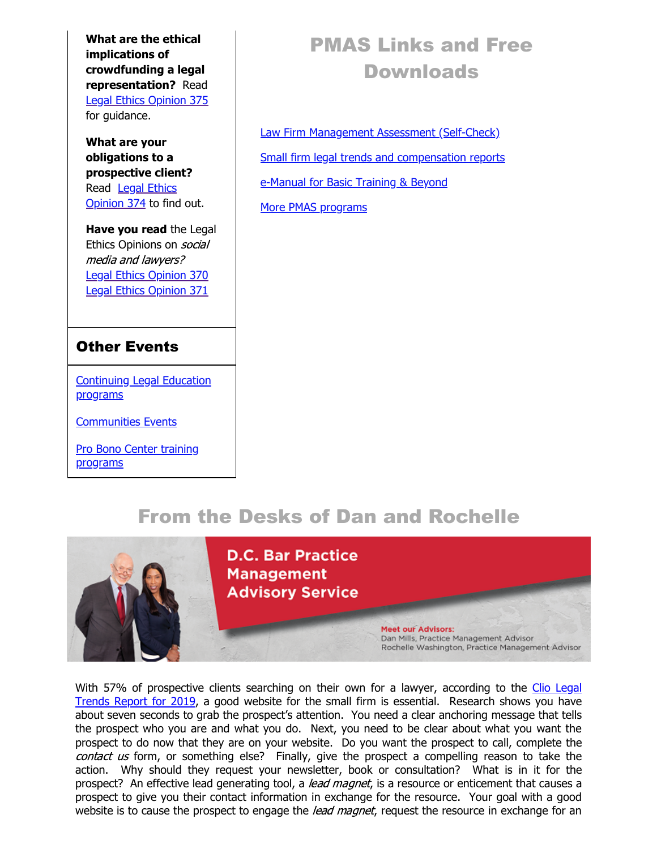**What are the ethical implications of crowdfunding a legal representation?** Read [Legal Ethics Opinion 375](http://www.mmsend31.com/link.cfm?r=zvkjaWqFFUTRz65Avl-Ftw~~&pe=L_NEo73Na3tGISmteR8w8JGtyTfjp0Mog-cffkpPzttbWQqtqsF6GkWkSYwLE6496S_5EsI4_lCLSCnkZGBoOw~~&t=k9OHu-7U-pBMufM-Njc8Aw~~) for guidance.

**What are your obligations to a prospective client?** Read **Legal Ethics** [Opinion 374 to find](http://www.mmsend31.com/link.cfm?r=zvkjaWqFFUTRz65Avl-Ftw~~&pe=V7vYx53BAyWBNqAaYBD45uDuWfHE3DPDJNjEWTDSxWszYss4bQ7_z9YVzodJ0ysXiK44K5BlDt2moA1MFweu2Q~~&t=k9OHu-7U-pBMufM-Njc8Aw~~) out.

**Have you read** the Legal Ethics Opinions on social media and lawyers? [Legal Ethics Opinion 370](http://www.mmsend31.com/link.cfm?r=zvkjaWqFFUTRz65Avl-Ftw~~&pe=rtd75SUOd5cdaVeViiO-N2Q049f_5n87gWaO9j63Dki0PcjktOqAV07NWTu9nEE5tak05URhO3ntAZQEB9i_Aw~~&t=k9OHu-7U-pBMufM-Njc8Aw~~) [Legal Ethics Opinion 371](http://www.mmsend31.com/link.cfm?r=zvkjaWqFFUTRz65Avl-Ftw~~&pe=JxfKpUfHJn2MY02tq2lnoeZPn4sW4Wrgq9za-AyulCkMubDn4jAYyJZyj_g0xOob2cIeOVKdPLgbeQPniXaavA~~&t=k9OHu-7U-pBMufM-Njc8Aw~~)

## Other Events

[Continuing Legal Education](https://join.dcbar.org/eweb/DynamicPage.aspx?Site=DCBar&WebKey=cbe606bc-88d4-4d37-872c-f48d412a59e5&evt_etc_key=7aaf572d-f662-422f-9fe7-0ae3f4b705be&utm_source=Real%20Magnet&utm_medium=INSERT_CHANNEL&utm_campaign=INSERT_LINK_ID) programs

[Communities Events](https://join.dcbar.org/eweb/DynamicPage.aspx?site=dcbar&webcode=EventList&utm_source=Real%20Magnet&utm_medium=INSERT_CHANNEL&utm_campaign=INSERT_LINK_ID)

[Pro Bono Center training](http://www.dcbar.org/pro-bono/resources-and-training/pro-bono-training.cfm?utm_source=Real%20Magnet&utm_medium=INSERT_CHANNEL&utm_campaign=INSERT_LINK_ID) programs

# PMAS Links and Free Downloads

[Law Firm Management Assessment \(Self-Check\)](https://www.dcbar.org/bar-resources/practice-management-advisory-service/selfcheck.cfm?utm_source=Real%20Magnet&utm_medium=INSERT_CHANNEL&utm_campaign=INSERT_LINK_ID) [Small firm legal trends and compensation reports](http://www.dcbar.org/bar-resources/practice-management-advisory-service/basic-training-supplement.cfm?utm_source=Real%20Magnet&utm_medium=INSERT_CHANNEL&utm_campaign=INSERT_LINK_ID) [e-Manual for Basic Training & Beyond](http://www.dcbar.org/bar-resources/practice-management-advisory-service/upload/eManual-050316.pdf?utm_source=Real%20Magnet&utm_medium=INSERT_CHANNEL&utm_campaign=INSERT_LINK_ID) [More PMAS programs](http://www.dcbar.org/bar-resources/practice-management-advisory-service/?utm_source=Real%20Magnet&utm_medium=INSERT_CHANNEL&utm_campaign=INSERT_LINK_ID)

## From the Desks of Dan and Rochelle



[With 57% of prospective clients searching on their own for a lawyer, according to the Clio Legal](https://www.clio.com/resources/legal-trends/2019-report/read-online/) Trends Report for 2019, a good website for the small firm is essential. Research shows you have about seven seconds to grab the prospect's attention. You need a clear anchoring message that tells the prospect who you are and what you do. Next, you need to be clear about what you want the prospect to do now that they are on your website. Do you want the prospect to call, complete the contact us form, or something else? Finally, give the prospect a compelling reason to take the action. Why should they request your newsletter, book or consultation? What is in it for the prospect? An effective lead generating tool, a *lead magnet*, is a resource or enticement that causes a prospect to give you their contact information in exchange for the resource. Your goal with a good website is to cause the prospect to engage the *lead magnet*, request the resource in exchange for an